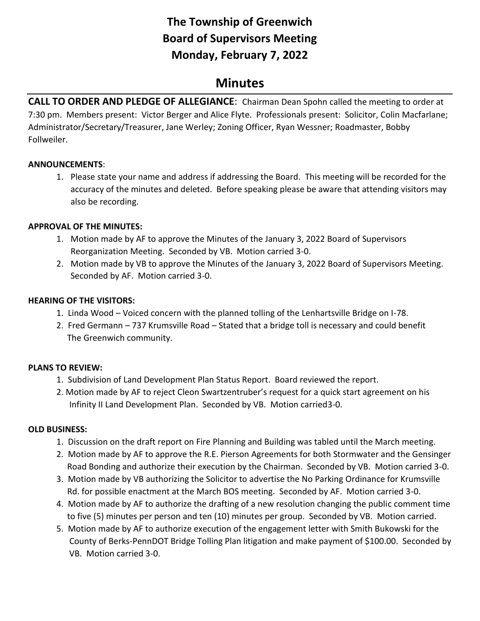# **The Township of Greenwich Board of Supervisors Meeting Monday, February 7, 2022**

# **Minutes**

**CALL TO ORDER AND PLEDGE OF ALLEGIANCE**: Chairman Dean Spohn called the meeting to order at 7:30 pm. Members present: Victor Berger and Alice Flyte. Professionals present: Solicitor, Colin Macfarlane; Administrator/Secretary/Treasurer, Jane Werley; Zoning Officer, Ryan Wessner; Roadmaster, Bobby Follweiler.

## **ANNOUNCEMENTS**:

1. Please state your name and address if addressing the Board. This meeting will be recorded for the accuracy of the minutes and deleted. Before speaking please be aware that attending visitors may also be recording.

#### **APPROVAL OF THE MINUTES:**

- 1. Motion made by AF to approve the Minutes of the January 3, 2022 Board of Supervisors Reorganization Meeting. Seconded by VB. Motion carried 3-0.
- 2. Motion made by VB to approve the Minutes of the January 3, 2022 Board of Supervisors Meeting. Seconded by AF. Motion carried 3-0.

#### **HEARING OF THE VISITORS:**

- 1. Linda Wood Voiced concern with the planned tolling of the Lenhartsville Bridge on I-78.
- 2. Fred Germann 737 Krumsville Road Stated that a bridge toll is necessary and could benefit The Greenwich community.

## **PLANS TO REVIEW:**

- 1. Subdivision of Land Development Plan Status Report. Board reviewed the report.
- 2. Motion made by AF to reject Cleon Swartzentruber's request for a quick start agreement on his Infinity II Land Development Plan. Seconded by VB. Motion carried3-0.

## **OLD BUSINESS:**

- 1.Discussion on the draft report on Fire Planning and Building was tabled until the March meeting.
- 2. Motion made by AF to approve the R.E. Pierson Agreements for both Stormwater and the Gensinger Road Bonding and authorize their execution by the Chairman. Seconded by VB. Motion carried 3-0.
- 3. Motion made by VB authorizing the Solicitor to advertise the No Parking Ordinance for Krumsville Rd. for possible enactment at the March BOS meeting. Seconded by AF. Motion carried 3-0.
- 4. Motion made by AF to authorize the drafting of a new resolution changing the public comment time to five (5) minutes per person and ten (10) minutes per group. Seconded by VB. Motion carried.
- 5. Motion made by AF to authorize execution of the engagement letter with Smith Bukowski for the County of Berks-PennDOT Bridge Tolling Plan litigation and make payment of \$100.00. Seconded by VB. Motion carried 3-0.